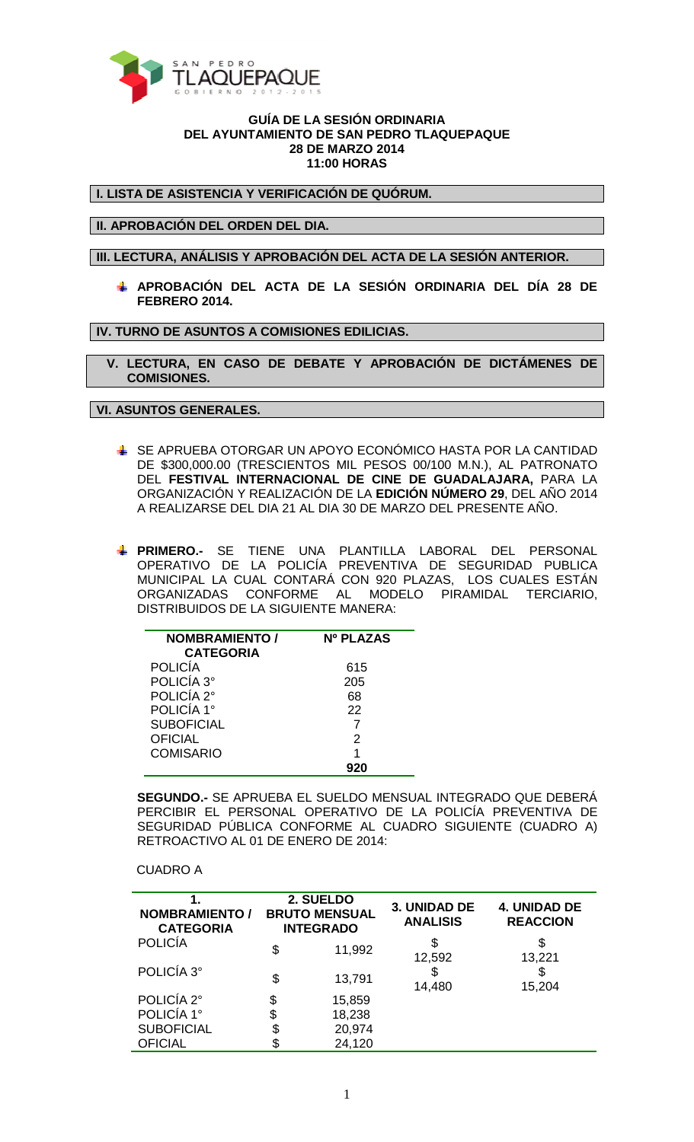

## **GUÍA DE LA SESIÓN ORDINARIA DEL AYUNTAMIENTO DE SAN PEDRO TLAQUEPAQUE 28 DE MARZO 2014 11:00 HORAS**

**I. LISTA DE ASISTENCIA Y VERIFICACIÓN DE QUÓRUM.** 

**II. APROBACIÓN DEL ORDEN DEL DIA.** 

**III. LECTURA, ANÁLISIS Y APROBACIÓN DEL ACTA DE LA SESIÓN ANTERIOR.** 

**APROBACIÓN DEL ACTA DE LA SESIÓN ORDINARIA DEL DÍA 28 DE FEBRERO 2014.** 

**IV. TURNO DE ASUNTOS A COMISIONES EDILICIAS.** 

 **V. LECTURA, EN CASO DE DEBATE Y APROBACIÓN DE DICTÁMENES DE COMISIONES.** 

**VI. ASUNTOS GENERALES.** 

- SE APRUEBA OTORGAR UN APOYO ECONÓMICO HASTA POR LA CANTIDAD DE \$300,000.00 (TRESCIENTOS MIL PESOS 00/100 M.N.), AL PATRONATO DEL **FESTIVAL INTERNACIONAL DE CINE DE GUADALAJARA,** PARA LA ORGANIZACIÓN Y REALIZACIÓN DE LA **EDICIÓN NÚMERO 29**, DEL AÑO 2014 A REALIZARSE DEL DIA 21 AL DIA 30 DE MARZO DEL PRESENTE AÑO.
- **PRIMERO.-** SE TIENE UNA PLANTILLA LABORAL DEL PERSONAL OPERATIVO DE LA POLICÍA PREVENTIVA DE SEGURIDAD PUBLICA MUNICIPAL LA CUAL CONTARÁ CON 920 PLAZAS, LOS CUALES ESTÁN ORGANIZADAS CONFORME AL MODELO PIRAMIDAL TERCIARIO, DISTRIBUIDOS DE LA SIGUIENTE MANERA:

| <b>NOMBRAMIENTO /</b> | Nº PLAZAS |
|-----------------------|-----------|
| <b>CATEGORIA</b>      |           |
| <b>POLICÍA</b>        | 615       |
| POLICÍA 3°            | 205       |
| POLICÍA 2°            | 68        |
| POLICÍA 1°            | 22        |
| <b>SUBOFICIAL</b>     |           |
| <b>OFICIAL</b>        | 2         |
| <b>COMISARIO</b>      |           |
|                       |           |

**SEGUNDO.-** SE APRUEBA EL SUELDO MENSUAL INTEGRADO QUE DEBERÁ PERCIBIR EL PERSONAL OPERATIVO DE LA POLICÍA PREVENTIVA DE SEGURIDAD PÚBLICA CONFORME AL CUADRO SIGUIENTE (CUADRO A) RETROACTIVO AL 01 DE ENERO DE 2014:

CUADRO A

| <b>NOMBRAMIENTO /</b><br><b>CATEGORIA</b> | 2. SUELDO<br><b>BRUTO MENSUAL</b><br><b>INTEGRADO</b> | 3. UNIDAD DE<br><b>ANALISIS</b> | <b>4. UNIDAD DE</b><br><b>REACCION</b> |
|-------------------------------------------|-------------------------------------------------------|---------------------------------|----------------------------------------|
| <b>POLICÍA</b>                            | \$<br>11,992                                          | \$<br>12,592                    | \$<br>13,221                           |
| POLICÍA 3°                                | \$<br>13,791                                          | S<br>14,480                     | S<br>15,204                            |
| POLICÍA 2°                                | \$<br>15,859                                          |                                 |                                        |
| POLICÍA 1°                                | \$<br>18,238                                          |                                 |                                        |
| <b>SUBOFICIAL</b>                         | \$<br>20,974                                          |                                 |                                        |
| <b>OFICIAL</b>                            | \$<br>24,120                                          |                                 |                                        |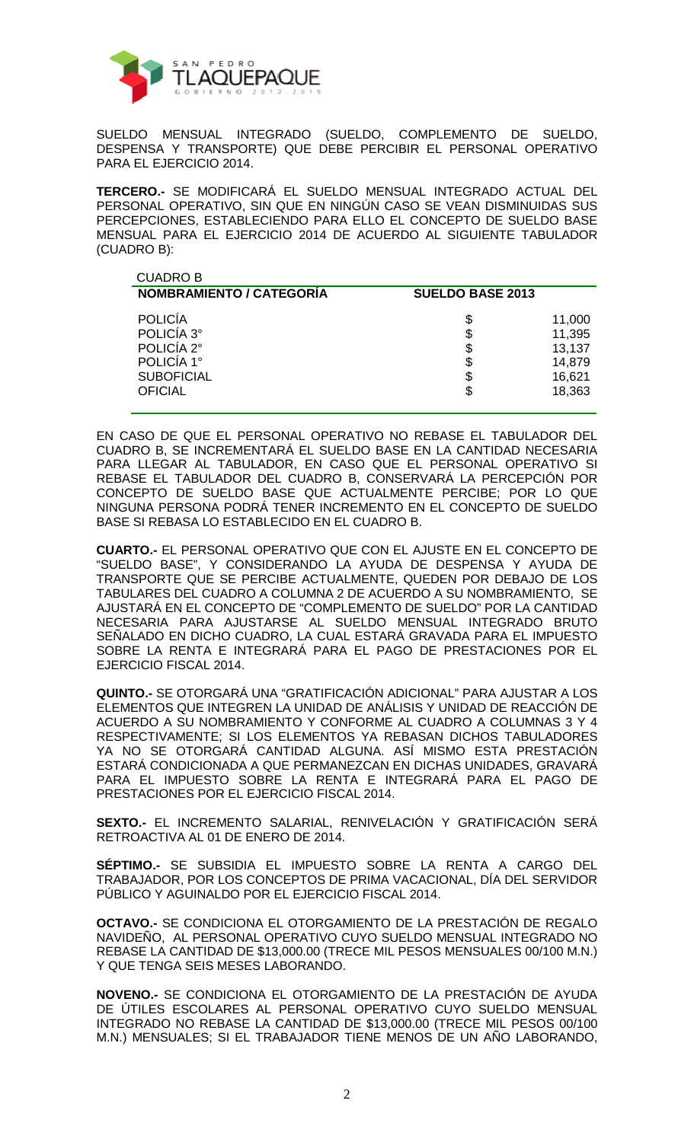

SUELDO MENSUAL INTEGRADO (SUELDO, COMPLEMENTO DE SUELDO, DESPENSA Y TRANSPORTE) QUE DEBE PERCIBIR EL PERSONAL OPERATIVO PARA EL EJERCICIO 2014.

**TERCERO.-** SE MODIFICARÁ EL SUELDO MENSUAL INTEGRADO ACTUAL DEL PERSONAL OPERATIVO, SIN QUE EN NINGÚN CASO SE VEAN DISMINUIDAS SUS PERCEPCIONES, ESTABLECIENDO PARA ELLO EL CONCEPTO DE SUELDO BASE MENSUAL PARA EL EJERCICIO 2014 DE ACUERDO AL SIGUIENTE TABULADOR (CUADRO B):

| <b>CUADRO B</b>                                                                                 |                            |                                                          |
|-------------------------------------------------------------------------------------------------|----------------------------|----------------------------------------------------------|
| <b>NOMBRAMIENTO / CATEGORIA</b>                                                                 | <b>SUELDO BASE 2013</b>    |                                                          |
| <b>POLICÍA</b><br>POLICÍA 3°<br>POLICÍA 2°<br>POLICÍA 1°<br><b>SUBOFICIAL</b><br><b>OFICIAL</b> | \$<br>\$<br>\$<br>\$<br>\$ | 11,000<br>11,395<br>13,137<br>14,879<br>16,621<br>18,363 |
|                                                                                                 |                            |                                                          |

EN CASO DE QUE EL PERSONAL OPERATIVO NO REBASE EL TABULADOR DEL CUADRO B, SE INCREMENTARÁ EL SUELDO BASE EN LA CANTIDAD NECESARIA PARA LLEGAR AL TABULADOR, EN CASO QUE EL PERSONAL OPERATIVO SI REBASE EL TABULADOR DEL CUADRO B, CONSERVARÁ LA PERCEPCIÓN POR CONCEPTO DE SUELDO BASE QUE ACTUALMENTE PERCIBE; POR LO QUE NINGUNA PERSONA PODRÁ TENER INCREMENTO EN EL CONCEPTO DE SUELDO BASE SI REBASA LO ESTABLECIDO EN EL CUADRO B.

**CUARTO.-** EL PERSONAL OPERATIVO QUE CON EL AJUSTE EN EL CONCEPTO DE "SUELDO BASE", Y CONSIDERANDO LA AYUDA DE DESPENSA Y AYUDA DE TRANSPORTE QUE SE PERCIBE ACTUALMENTE, QUEDEN POR DEBAJO DE LOS TABULARES DEL CUADRO A COLUMNA 2 DE ACUERDO A SU NOMBRAMIENTO, SE AJUSTARÁ EN EL CONCEPTO DE "COMPLEMENTO DE SUELDO" POR LA CANTIDAD NECESARIA PARA AJUSTARSE AL SUELDO MENSUAL INTEGRADO BRUTO SEÑALADO EN DICHO CUADRO, LA CUAL ESTARÁ GRAVADA PARA EL IMPUESTO SOBRE LA RENTA E INTEGRARÁ PARA EL PAGO DE PRESTACIONES POR EL EJERCICIO FISCAL 2014.

**QUINTO.-** SE OTORGARÁ UNA "GRATIFICACIÓN ADICIONAL" PARA AJUSTAR A LOS ELEMENTOS QUE INTEGREN LA UNIDAD DE ANÁLISIS Y UNIDAD DE REACCIÓN DE ACUERDO A SU NOMBRAMIENTO Y CONFORME AL CUADRO A COLUMNAS 3 Y 4 RESPECTIVAMENTE; SI LOS ELEMENTOS YA REBASAN DICHOS TABULADORES YA NO SE OTORGARÁ CANTIDAD ALGUNA. ASÍ MISMO ESTA PRESTACIÓN ESTARÁ CONDICIONADA A QUE PERMANEZCAN EN DICHAS UNIDADES, GRAVARÁ PARA EL IMPUESTO SOBRE LA RENTA E INTEGRARÁ PARA EL PAGO DE PRESTACIONES POR EL EJERCICIO FISCAL 2014.

**SEXTO.-** EL INCREMENTO SALARIAL, RENIVELACIÓN Y GRATIFICACIÓN SERÁ RETROACTIVA AL 01 DE ENERO DE 2014.

**SÉPTIMO.-** SE SUBSIDIA EL IMPUESTO SOBRE LA RENTA A CARGO DEL TRABAJADOR, POR LOS CONCEPTOS DE PRIMA VACACIONAL, DÍA DEL SERVIDOR PÚBLICO Y AGUINALDO POR EL EJERCICIO FISCAL 2014.

**OCTAVO.-** SE CONDICIONA EL OTORGAMIENTO DE LA PRESTACIÓN DE REGALO NAVIDEÑO, AL PERSONAL OPERATIVO CUYO SUELDO MENSUAL INTEGRADO NO REBASE LA CANTIDAD DE \$13,000.00 (TRECE MIL PESOS MENSUALES 00/100 M.N.) Y QUE TENGA SEIS MESES LABORANDO.

**NOVENO.-** SE CONDICIONA EL OTORGAMIENTO DE LA PRESTACIÓN DE AYUDA DE ÚTILES ESCOLARES AL PERSONAL OPERATIVO CUYO SUELDO MENSUAL INTEGRADO NO REBASE LA CANTIDAD DE \$13,000.00 (TRECE MIL PESOS 00/100 M.N.) MENSUALES; SI EL TRABAJADOR TIENE MENOS DE UN AÑO LABORANDO,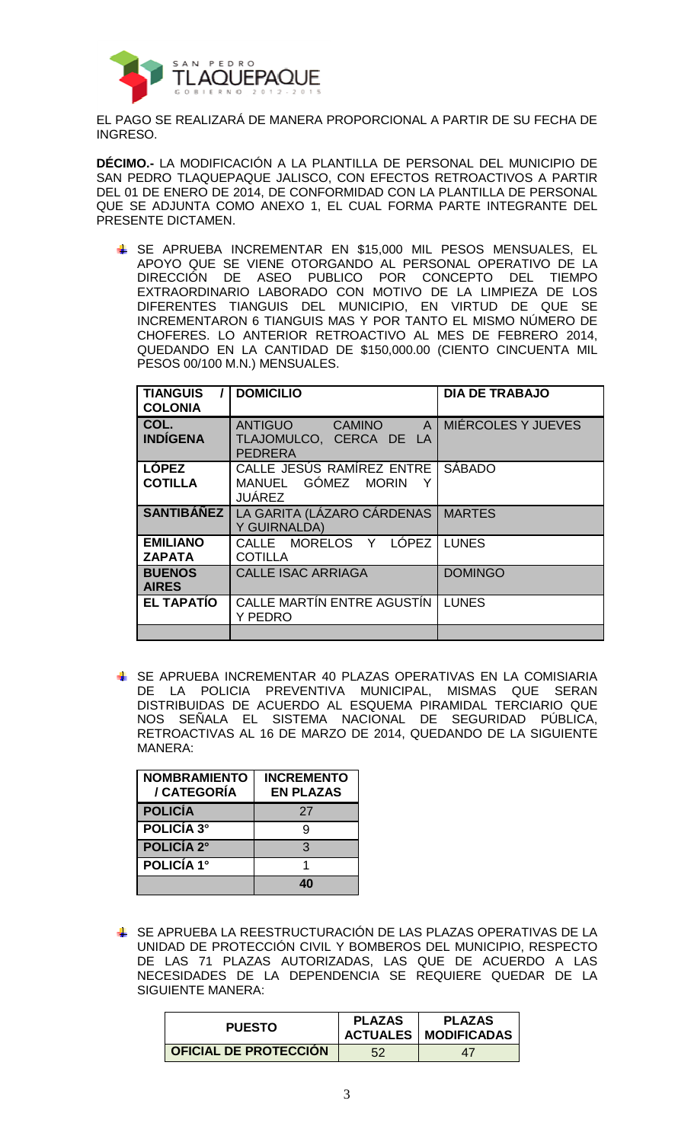

EL PAGO SE REALIZARÁ DE MANERA PROPORCIONAL A PARTIR DE SU FECHA DE INGRESO.

**DÉCIMO.-** LA MODIFICACIÓN A LA PLANTILLA DE PERSONAL DEL MUNICIPIO DE SAN PEDRO TLAQUEPAQUE JALISCO, CON EFECTOS RETROACTIVOS A PARTIR DEL 01 DE ENERO DE 2014, DE CONFORMIDAD CON LA PLANTILLA DE PERSONAL QUE SE ADJUNTA COMO ANEXO 1, EL CUAL FORMA PARTE INTEGRANTE DEL PRESENTE DICTAMEN.

**SE APRUEBA INCREMENTAR EN \$15,000 MIL PESOS MENSUALES, EL** APOYO QUE SE VIENE OTORGANDO AL PERSONAL OPERATIVO DE LA DIRECCIÓN DE ASEO PUBLICO POR CONCEPTO DEL TIEMPO EXTRAORDINARIO LABORADO CON MOTIVO DE LA LIMPIEZA DE LOS DIFERENTES TIANGUIS DEL MUNICIPIO, EN VIRTUD DE QUE SE INCREMENTARON 6 TIANGUIS MAS Y POR TANTO EL MISMO NÚMERO DE CHOFERES. LO ANTERIOR RETROACTIVO AL MES DE FEBRERO 2014, QUEDANDO EN LA CANTIDAD DE \$150,000.00 (CIENTO CINCUENTA MIL PESOS 00/100 M.N.) MENSUALES.

| <b>TIANGUIS</b><br><b>COLONIA</b> | <b>DOMICILIO</b>                                                                             | <b>DIA DE TRABAJO</b> |
|-----------------------------------|----------------------------------------------------------------------------------------------|-----------------------|
| COL.<br><b>INDÍGENA</b>           | <b>ANTIGUO</b><br><b>CAMINO</b><br>$\mathsf{A}$<br>TLAJOMULCO, CERCA DE LA<br><b>PEDRERA</b> | MIÉRCOLES Y JUEVES    |
| <b>LÓPEZ</b><br><b>COTILLA</b>    | CALLE JESÚS RAMÍREZ ENTRE<br>MANUEL GÓMEZ MORIN<br><b>JUÁREZ</b>                             | <b>SÁBADO</b>         |
| <b>SANTIBÁÑEZ</b>                 | LA GARITA (LÁZARO CÁRDENAS<br>Y GUIRNALDA)                                                   | <b>MARTES</b>         |
| <b>EMILIANO</b><br><b>ZAPATA</b>  | CALLE MORELOS Y LÓPEZ<br><b>COTILLA</b>                                                      | <b>LUNES</b>          |
| <b>BUENOS</b><br><b>AIRES</b>     | <b>CALLE ISAC ARRIAGA</b>                                                                    | <b>DOMINGO</b>        |
| <b>EL TAPATIO</b>                 | CALLE MARTIN ENTRE AGUSTIN<br>Y PEDRO                                                        | <b>LUNES</b>          |
|                                   |                                                                                              |                       |

**SE APRUEBA INCREMENTAR 40 PLAZAS OPERATIVAS EN LA COMISIARIA** DE LA POLICIA PREVENTIVA MUNICIPAL, MISMAS QUE SERAN DISTRIBUIDAS DE ACUERDO AL ESQUEMA PIRAMIDAL TERCIARIO QUE NOS SEÑALA EL SISTEMA NACIONAL DE SEGURIDAD PÚBLICA, RETROACTIVAS AL 16 DE MARZO DE 2014, QUEDANDO DE LA SIGUIENTE MANERA:

| <b>NOMBRAMIENTO</b><br>/ CATEGORÍA | <b>INCREMENTO</b><br><b>EN PLAZAS</b> |
|------------------------------------|---------------------------------------|
| <b>POLICÍA</b>                     | 27                                    |
| <b>POLICÍA 3°</b>                  | g                                     |
| <b>POLICÍA 2°</b>                  | 3                                     |
| <b>POLICÍA 1°</b>                  |                                       |
|                                    |                                       |

 SE APRUEBA LA REESTRUCTURACIÓN DE LAS PLAZAS OPERATIVAS DE LA UNIDAD DE PROTECCIÓN CIVIL Y BOMBEROS DEL MUNICIPIO, RESPECTO DE LAS 71 PLAZAS AUTORIZADAS, LAS QUE DE ACUERDO A LAS NECESIDADES DE LA DEPENDENCIA SE REQUIERE QUEDAR DE LA SIGUIENTE MANERA:

| <b>PUESTO</b>                | <b>PLAZAS</b> | <b>PLAZAS</b><br><b>ACTUALES   MODIFICADAS</b> |
|------------------------------|---------------|------------------------------------------------|
| <b>OFICIAL DE PROTECCIÓN</b> | 52            | 47                                             |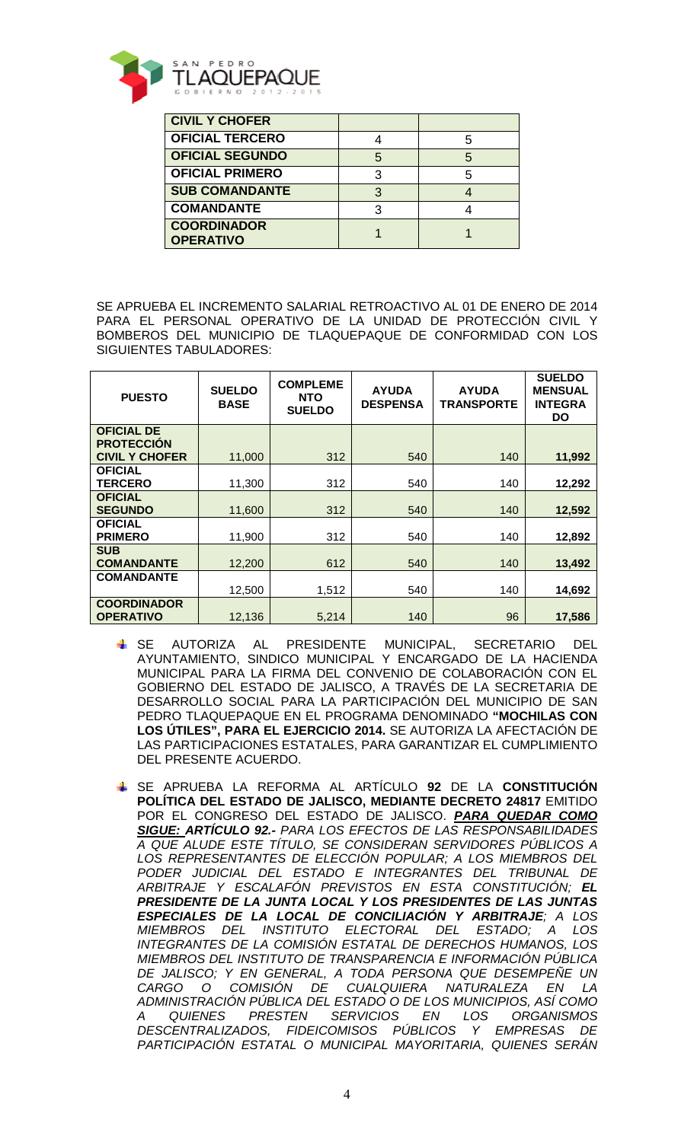

| <b>CIVIL Y CHOFER</b>                  |   |  |
|----------------------------------------|---|--|
| <b>OFICIAL TERCERO</b>                 |   |  |
| <b>OFICIAL SEGUNDO</b>                 | 5 |  |
| <b>OFICIAL PRIMERO</b>                 |   |  |
| <b>SUB COMANDANTE</b>                  | 3 |  |
| <b>COMANDANTE</b>                      |   |  |
| <b>COORDINADOR</b><br><b>OPERATIVO</b> |   |  |

SE APRUEBA EL INCREMENTO SALARIAL RETROACTIVO AL 01 DE ENERO DE 2014 PARA EL PERSONAL OPERATIVO DE LA UNIDAD DE PROTECCIÓN CIVIL Y BOMBEROS DEL MUNICIPIO DE TLAQUEPAQUE DE CONFORMIDAD CON LOS SIGUIENTES TABULADORES:

| <b>PUESTO</b>                              | <b>SUELDO</b><br><b>BASE</b> | <b>COMPLEME</b><br><b>NTO</b><br><b>SUELDO</b> | <b>AYUDA</b><br><b>DESPENSA</b> | <b>AYUDA</b><br><b>TRANSPORTE</b> | <b>SUELDO</b><br><b>MENSUAL</b><br><b>INTEGRA</b><br><b>DO</b> |
|--------------------------------------------|------------------------------|------------------------------------------------|---------------------------------|-----------------------------------|----------------------------------------------------------------|
| <b>OFICIAL DE</b>                          |                              |                                                |                                 |                                   |                                                                |
| <b>PROTECCION</b><br><b>CIVIL Y CHOFER</b> | 11,000                       | 312                                            | 540                             | 140                               | 11,992                                                         |
| <b>OFICIAL</b><br><b>TERCERO</b>           | 11,300                       | 312                                            | 540                             | 140                               | 12,292                                                         |
| <b>OFICIAL</b><br><b>SEGUNDO</b>           | 11,600                       | 312                                            | 540                             | 140                               | 12,592                                                         |
| <b>OFICIAL</b><br><b>PRIMERO</b>           | 11,900                       | 312                                            | 540                             | 140                               | 12,892                                                         |
| <b>SUB</b><br><b>COMANDANTE</b>            | 12,200                       | 612                                            | 540                             | 140                               | 13,492                                                         |
| <b>COMANDANTE</b>                          | 12,500                       | 1,512                                          | 540                             | 140                               | 14,692                                                         |
| <b>COORDINADOR</b><br><b>OPERATIVO</b>     | 12,136                       | 5,214                                          | 140                             | 96                                | 17,586                                                         |

- SE AUTORIZA AL PRESIDENTE MUNICIPAL, SECRETARIO DEL AYUNTAMIENTO, SINDICO MUNICIPAL Y ENCARGADO DE LA HACIENDA MUNICIPAL PARA LA FIRMA DEL CONVENIO DE COLABORACIÓN CON EL GOBIERNO DEL ESTADO DE JALISCO, A TRAVÉS DE LA SECRETARIA DE DESARROLLO SOCIAL PARA LA PARTICIPACIÓN DEL MUNICIPIO DE SAN PEDRO TLAQUEPAQUE EN EL PROGRAMA DENOMINADO **"MOCHILAS CON LOS ÚTILES", PARA EL EJERCICIO 2014.** SE AUTORIZA LA AFECTACIÓN DE LAS PARTICIPACIONES ESTATALES, PARA GARANTIZAR EL CUMPLIMIENTO DEL PRESENTE ACUERDO.
- SE APRUEBA LA REFORMA AL ARTÍCULO **92** DE LA **CONSTITUCIÓN POLÍTICA DEL ESTADO DE JALISCO, MEDIANTE DECRETO 24817** EMITIDO POR EL CONGRESO DEL ESTADO DE JALISCO. **PARA QUEDAR COMO SIGUE: ARTÍCULO 92.-** PARA LOS EFECTOS DE LAS RESPONSABILIDADES A QUE ALUDE ESTE TÍTULO, SE CONSIDERAN SERVIDORES PÚBLICOS A LOS REPRESENTANTES DE ELECCIÓN POPULAR; A LOS MIEMBROS DEL PODER JUDICIAL DEL ESTADO E INTEGRANTES DEL TRIBUNAL DE ARBITRAJE Y ESCALAFÓN PREVISTOS EN ESTA CONSTITUCIÓN; **EL PRESIDENTE DE LA JUNTA LOCAL Y LOS PRESIDENTES DE LAS JUNTAS ESPECIALES DE LA LOCAL DE CONCILIACIÓN Y ARBITRAJE**; A LOS MIEMBROS DEL INSTITUTO ELECTORAL DEL ESTADO; A LOS INTEGRANTES DE LA COMISIÓN ESTATAL DE DERECHOS HUMANOS, LOS MIEMBROS DEL INSTITUTO DE TRANSPARENCIA E INFORMACIÓN PÚBLICA DE JALISCO; Y EN GENERAL, A TODA PERSONA QUE DESEMPEÑE UN CARGO O COMISIÓN DE CUALQUIERA NATURALEZA EN LA ADMINISTRACIÓN PÚBLICA DEL ESTADO O DE LOS MUNICIPIOS, ASÍ COMO A QUIENES PRESTEN SERVICIOS EN LOS ORGANISMOS DESCENTRALIZADOS, FIDEICOMISOS PÚBLICOS Y EMPRESAS DE PARTICIPACIÓN ESTATAL O MUNICIPAL MAYORITARIA, QUIENES SERÁN